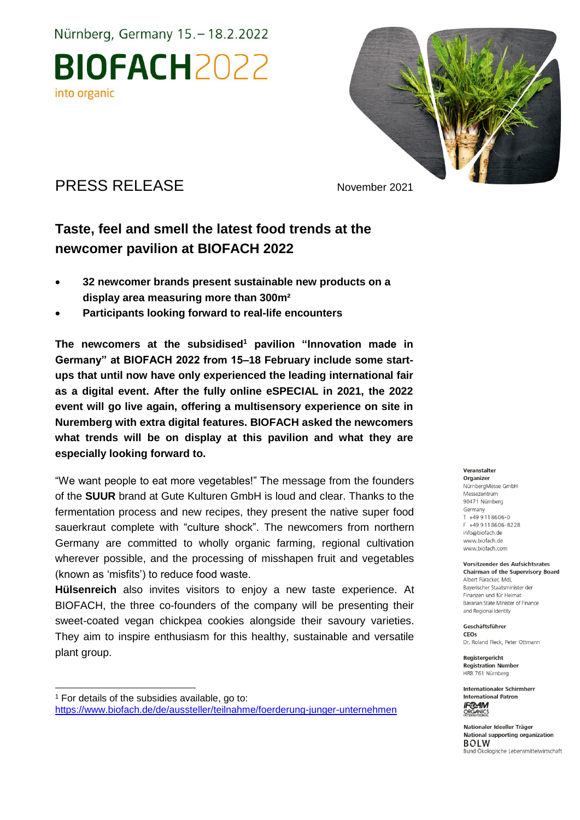Nürnberg, Germany 15. - 18.2.2022 **BIOFACH2022** into organic



## PRESS RELEASE November 2021

-

## **Taste, feel and smell the latest food trends at the newcomer pavilion at BIOFACH 2022**

- **32 newcomer brands present sustainable new products on a display area measuring more than 300m²**
- **Participants looking forward to real-life encounters**

**The newcomers at the subsidised<sup>1</sup> pavilion "Innovation made in Germany" at BIOFACH 2022 from 15–18 February include some startups that until now have only experienced the leading international fair as a digital event. After the fully online eSPECIAL in 2021, the 2022 event will go live again, offering a multisensory experience on site in Nuremberg with extra digital features. BIOFACH asked the newcomers what trends will be on display at this pavilion and what they are especially looking forward to.**

"We want people to eat more vegetables!" The message from the founders of the **SUUR** brand at Gute Kulturen GmbH is loud and clear. Thanks to the fermentation process and new recipes, they present the native super food sauerkraut complete with "culture shock". The newcomers from northern Germany are committed to wholly organic farming, regional cultivation wherever possible, and the processing of misshapen fruit and vegetables (known as 'misfits') to reduce food waste.

**Hülsenreich** also invites visitors to enjoy a new taste experience. At BIOFACH, the three co-founders of the company will be presenting their sweet-coated vegan chickpea cookies alongside their savoury varieties. They aim to inspire enthusiasm for this healthy, sustainable and versatile plant group.

#### Veranstalter

Organizer NürnbergMesse GmbH Messezentrum 90471 Nürnberg Germany T +49 9 11 86 06-0 F +49 9 11 8 6 0 6 - 8 2 2 8 info@biofach.de www.biofach.de www.biofach.com

Vorsitzender des Aufsichtsrates **Chairman of the Supervisory Board** Albert Füracker, Mdl. Bayerischer Staatsminister de Finanzen und für Heimat Bavarian State Minister of Finance and Regional Identity

Geschäftsführer CEOs Dr. Roland Fleck, Peter Ottmann

Registergericht **Registration Number** HRB 761 Nürnberg

**Internationaler Schirmherr International Patron IF®AM ORGANICS** 

Nationaler Ideeller Träger National supporting organization **BOLW** Bund Ökologische Lebensmittelwirtschaft

<sup>&</sup>lt;sup>1</sup> For details of the subsidies available, go to: <https://www.biofach.de/de/aussteller/teilnahme/foerderung-junger-unternehmen>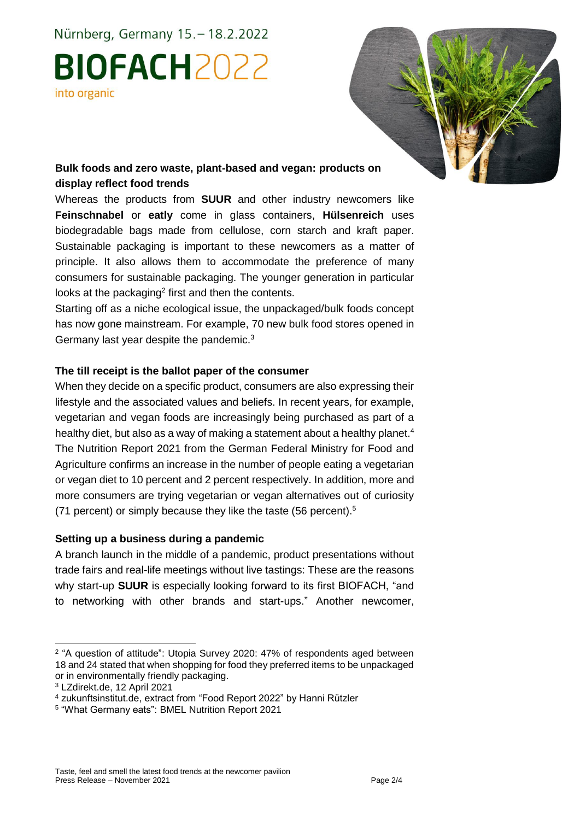Nürnberg, Germany 15. - 18.2.2022

# **BIOFACH2022** into organic



#### **Bulk foods and zero waste, plant-based and vegan: products on display reflect food trends**

Whereas the products from **SUUR** and other industry newcomers like **Feinschnabel** or **eatly** come in glass containers, **Hülsenreich** uses biodegradable bags made from cellulose, corn starch and kraft paper. Sustainable packaging is important to these newcomers as a matter of principle. It also allows them to accommodate the preference of many consumers for sustainable packaging. The younger generation in particular looks at the packaging<sup>2</sup> first and then the contents.

Starting off as a niche ecological issue, the unpackaged/bulk foods concept has now gone mainstream. For example, 70 new bulk food stores opened in Germany last year despite the pandemic.<sup>3</sup>

#### **The till receipt is the ballot paper of the consumer**

When they decide on a specific product, consumers are also expressing their lifestyle and the associated values and beliefs. In recent years, for example, vegetarian and vegan foods are increasingly being purchased as part of a healthy diet, but also as a way of making a statement about a healthy planet.<sup>4</sup> The Nutrition Report 2021 from the German Federal Ministry for Food and Agriculture confirms an increase in the number of people eating a vegetarian or vegan diet to 10 percent and 2 percent respectively. In addition, more and more consumers are trying vegetarian or vegan alternatives out of curiosity (71 percent) or simply because they like the taste (56 percent).<sup>5</sup>

#### **Setting up a business during a pandemic**

A branch launch in the middle of a pandemic, product presentations without trade fairs and real-life meetings without live tastings: These are the reasons why start-up **SUUR** is especially looking forward to its first BIOFACH, "and to networking with other brands and start-ups." Another newcomer,

-

<sup>2</sup> "A question of attitude": Utopia Survey 2020: 47% of respondents aged between 18 and 24 stated that when shopping for food they preferred items to be unpackaged or in environmentally friendly packaging.

<sup>3</sup> LZdirekt.de, 12 April 2021

<sup>4</sup> zukunftsinstitut.de, extract from "Food Report 2022" by Hanni Rützler

<sup>5</sup> "What Germany eats": BMEL Nutrition Report 2021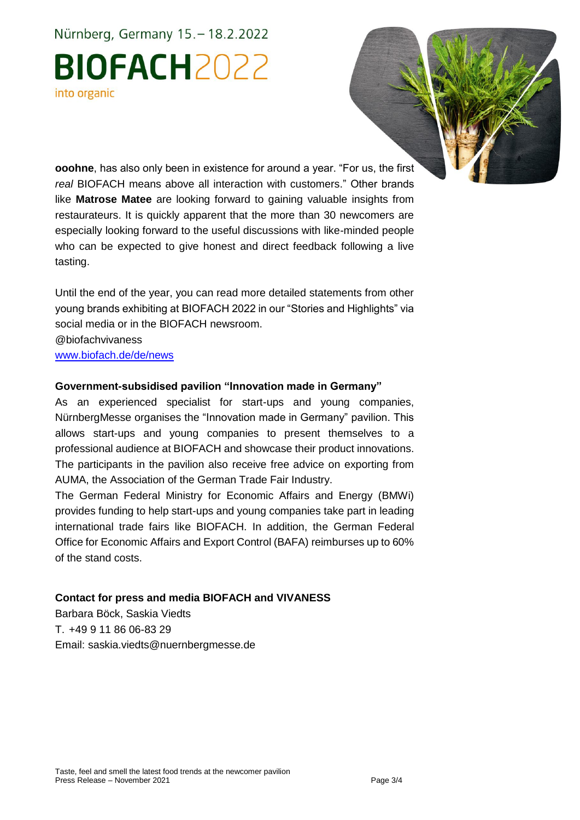## Nürnberg, Germany 15. - 18.2.2022 **BIOFACH2022** into organic



**ooohne**, has also only been in existence for around a year. "For us, the first *real* BIOFACH means above all interaction with customers." Other brands like **Matrose Matee** are looking forward to gaining valuable insights from restaurateurs. It is quickly apparent that the more than 30 newcomers are especially looking forward to the useful discussions with like-minded people who can be expected to give honest and direct feedback following a live tasting.

Until the end of the year, you can read more detailed statements from other young brands exhibiting at BIOFACH 2022 in our "Stories and Highlights" via social media or in the BIOFACH newsroom.

@biofachvivaness

[www.biofach.de/de/news](https://www.biofach.de/de/news)

#### **Government-subsidised pavilion "Innovation made in Germany"**

As an experienced specialist for start-ups and young companies, NürnbergMesse organises the "Innovation made in Germany" pavilion. This allows start-ups and young companies to present themselves to a professional audience at BIOFACH and showcase their product innovations. The participants in the pavilion also receive free advice on exporting from AUMA, the Association of the German Trade Fair Industry.

The German Federal Ministry for Economic Affairs and Energy (BMWi) provides funding to help start-ups and young companies take part in leading international trade fairs like BIOFACH. In addition, the German Federal Office for Economic Affairs and Export Control (BAFA) reimburses up to 60% of the stand costs.

#### **Contact for press and media BIOFACH and VIVANESS**

Barbara Böck, Saskia Viedts T. +49 9 11 86 06-83 29 Email: saskia.viedts@nuernbergmesse.de